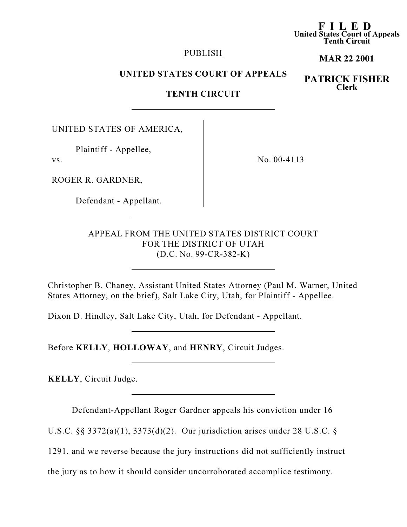## PUBLISH

# MAR 22 2001

F I L E D United States Court of Appeals Tenth Circuit

# UNITED STATES COURT OF APPEALS

# PATRICK FISHER Clerk

## TENTH CIRCUIT

UNITED STATES OF AMERICA,

Plaintiff - Appellee,

vs.

No. 00-4113

ROGER R. GARDNER,

Defendant - Appellant.

APPEAL FROM THE UNITED STATES DISTRICT COURT FOR THE DISTRICT OF UTAH (D.C. No. 99-CR-382-K)

Christopher B. Chaney, Assistant United States Attorney (Paul M. Warner, United States Attorney, on the brief), Salt Lake City, Utah, for Plaintiff - Appellee.

Dixon D. Hindley, Salt Lake City, Utah, for Defendant - Appellant.

Before KELLY, HOLLOWAY, and HENRY, Circuit Judges.

KELLY, Circuit Judge.

Defendant-Appellant Roger Gardner appeals his conviction under 16

U.S.C. §§ 3372(a)(1), 3373(d)(2). Our jurisdiction arises under 28 U.S.C. §

1291, and we reverse because the jury instructions did not sufficiently instruct

the jury as to how it should consider uncorroborated accomplice testimony.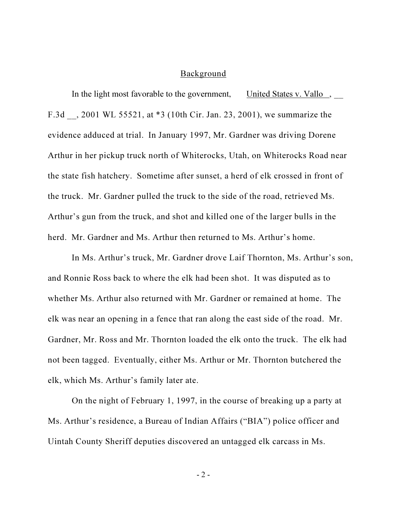#### Background

In the light most favorable to the government, United States v. Vallo, F.3d \_\_, 2001 WL 55521, at \*3 (10th Cir. Jan. 23, 2001), we summarize the evidence adduced at trial. In January 1997, Mr. Gardner was driving Dorene Arthur in her pickup truck north of Whiterocks, Utah, on Whiterocks Road near the state fish hatchery. Sometime after sunset, a herd of elk crossed in front of the truck. Mr. Gardner pulled the truck to the side of the road, retrieved Ms. Arthur's gun from the truck, and shot and killed one of the larger bulls in the herd. Mr. Gardner and Ms. Arthur then returned to Ms. Arthur's home.

In Ms. Arthur's truck, Mr. Gardner drove Laif Thornton, Ms. Arthur's son, and Ronnie Ross back to where the elk had been shot. It was disputed as to whether Ms. Arthur also returned with Mr. Gardner or remained at home. The elk was near an opening in a fence that ran along the east side of the road. Mr. Gardner, Mr. Ross and Mr. Thornton loaded the elk onto the truck. The elk had not been tagged. Eventually, either Ms. Arthur or Mr. Thornton butchered the elk, which Ms. Arthur's family later ate.

On the night of February 1, 1997, in the course of breaking up a party at Ms. Arthur's residence, a Bureau of Indian Affairs ("BIA") police officer and Uintah County Sheriff deputies discovered an untagged elk carcass in Ms.

 $-2-$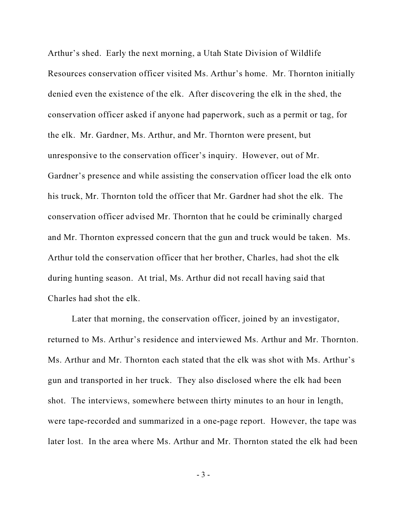Arthur's shed. Early the next morning, a Utah State Division of Wildlife Resources conservation officer visited Ms. Arthur's home. Mr. Thornton initially denied even the existence of the elk. After discovering the elk in the shed, the conservation officer asked if anyone had paperwork, such as a permit or tag, for the elk. Mr. Gardner, Ms. Arthur, and Mr. Thornton were present, but unresponsive to the conservation officer's inquiry. However, out of Mr. Gardner's presence and while assisting the conservation officer load the elk onto his truck, Mr. Thornton told the officer that Mr. Gardner had shot the elk. The conservation officer advised Mr. Thornton that he could be criminally charged and Mr. Thornton expressed concern that the gun and truck would be taken. Ms. Arthur told the conservation officer that her brother, Charles, had shot the elk during hunting season. At trial, Ms. Arthur did not recall having said that Charles had shot the elk.

Later that morning, the conservation officer, joined by an investigator, returned to Ms. Arthur's residence and interviewed Ms. Arthur and Mr. Thornton. Ms. Arthur and Mr. Thornton each stated that the elk was shot with Ms. Arthur's gun and transported in her truck. They also disclosed where the elk had been shot. The interviews, somewhere between thirty minutes to an hour in length, were tape-recorded and summarized in a one-page report. However, the tape was later lost. In the area where Ms. Arthur and Mr. Thornton stated the elk had been

- 3 -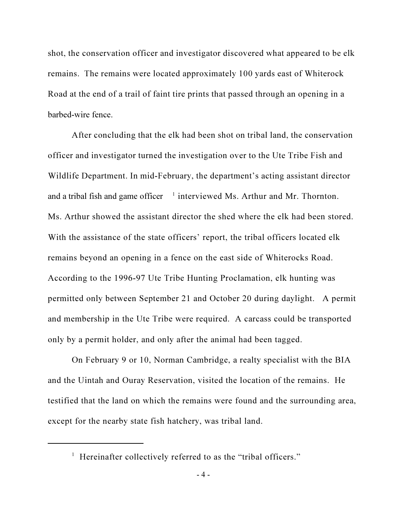shot, the conservation officer and investigator discovered what appeared to be elk remains. The remains were located approximately 100 yards east of Whiterock Road at the end of a trail of faint tire prints that passed through an opening in a barbed-wire fence.

After concluding that the elk had been shot on tribal land, the conservation officer and investigator turned the investigation over to the Ute Tribe Fish and Wildlife Department. In mid-February, the department's acting assistant director and a tribal fish and game officer  $1$  interviewed Ms. Arthur and Mr. Thornton. Ms. Arthur showed the assistant director the shed where the elk had been stored. With the assistance of the state officers' report, the tribal officers located elk remains beyond an opening in a fence on the east side of Whiterocks Road. According to the 1996-97 Ute Tribe Hunting Proclamation, elk hunting was permitted only between September 21 and October 20 during daylight. A permit and membership in the Ute Tribe were required. A carcass could be transported only by a permit holder, and only after the animal had been tagged.

On February 9 or 10, Norman Cambridge, a realty specialist with the BIA and the Uintah and Ouray Reservation, visited the location of the remains. He testified that the land on which the remains were found and the surrounding area, except for the nearby state fish hatchery, was tribal land.

<sup>&</sup>lt;sup>1</sup> Hereinafter collectively referred to as the "tribal officers."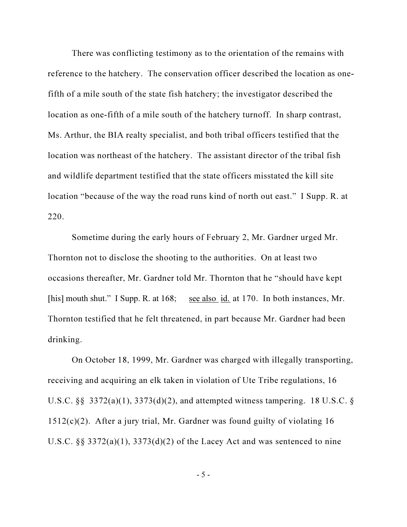There was conflicting testimony as to the orientation of the remains with reference to the hatchery. The conservation officer described the location as onefifth of a mile south of the state fish hatchery; the investigator described the location as one-fifth of a mile south of the hatchery turnoff. In sharp contrast, Ms. Arthur, the BIA realty specialist, and both tribal officers testified that the location was northeast of the hatchery. The assistant director of the tribal fish and wildlife department testified that the state officers misstated the kill site location "because of the way the road runs kind of north out east." I Supp. R. at 220.

Sometime during the early hours of February 2, Mr. Gardner urged Mr. Thornton not to disclose the shooting to the authorities. On at least two occasions thereafter, Mr. Gardner told Mr. Thornton that he "should have kept [his] mouth shut." I Supp. R. at 168; <u>see also id.</u> at 170. In both instances, Mr. Thornton testified that he felt threatened, in part because Mr. Gardner had been drinking.

On October 18, 1999, Mr. Gardner was charged with illegally transporting, receiving and acquiring an elk taken in violation of Ute Tribe regulations, 16 U.S.C. §§ 3372(a)(1), 3373(d)(2), and attempted witness tampering. 18 U.S.C. § 1512(c)(2). After a jury trial, Mr. Gardner was found guilty of violating 16 U.S.C.  $\S$ § 3372(a)(1), 3373(d)(2) of the Lacey Act and was sentenced to nine

- 5 -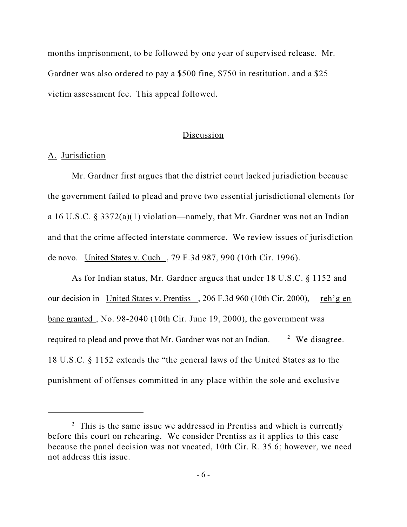months imprisonment, to be followed by one year of supervised release. Mr. Gardner was also ordered to pay a \$500 fine, \$750 in restitution, and a \$25 victim assessment fee. This appeal followed.

## **Discussion**

# A. Jurisdiction

Mr. Gardner first argues that the district court lacked jurisdiction because the government failed to plead and prove two essential jurisdictional elements for a 16 U.S.C. § 3372(a)(1) violation—namely, that Mr. Gardner was not an Indian and that the crime affected interstate commerce. We review issues of jurisdiction de novo. United States v. Cuch , 79 F.3d 987, 990 (10th Cir. 1996).

As for Indian status, Mr. Gardner argues that under 18 U.S.C. § 1152 and our decision in United States v. Prentiss , 206 F.3d 960 (10th Cir. 2000), reh'g en banc granted , No. 98-2040 (10th Cir. June 19, 2000), the government was required to plead and prove that Mr. Gardner was not an Indian. <sup>2</sup> <sup>2</sup> We disagree. 18 U.S.C. § 1152 extends the "the general laws of the United States as to the punishment of offenses committed in any place within the sole and exclusive

<sup>&</sup>lt;sup>2</sup> This is the same issue we addressed in Prentiss and which is currently before this court on rehearing. We consider Prentiss as it applies to this case because the panel decision was not vacated, 10th Cir. R. 35.6; however, we need not address this issue.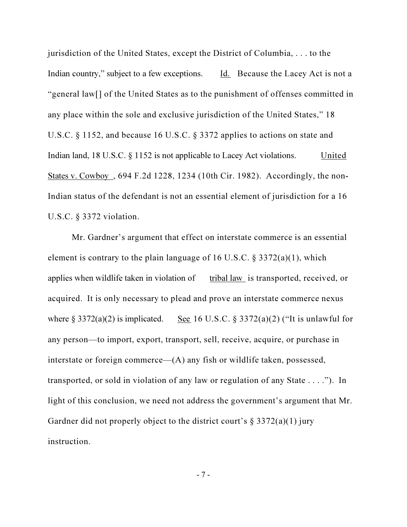jurisdiction of the United States, except the District of Columbia, . . . to the Indian country," subject to a few exceptions. Id. Because the Lacey Act is not a "general law[] of the United States as to the punishment of offenses committed in any place within the sole and exclusive jurisdiction of the United States," 18 U.S.C. § 1152, and because 16 U.S.C. § 3372 applies to actions on state and Indian land, 18 U.S.C.  $\S$  1152 is not applicable to Lacey Act violations. United States v. Cowboy , 694 F.2d 1228, 1234 (10th Cir. 1982). Accordingly, the non-Indian status of the defendant is not an essential element of jurisdiction for a 16 U.S.C. § 3372 violation.

Mr. Gardner's argument that effect on interstate commerce is an essential element is contrary to the plain language of 16 U.S.C.  $\S 3372(a)(1)$ , which applies when wildlife taken in violation of tribal law is transported, received, or acquired. It is only necessary to plead and prove an interstate commerce nexus where  $\S 3372(a)(2)$  is implicated. See 16 U.S.C.  $\S 3372(a)(2)$  ("It is unlawful for any person—to import, export, transport, sell, receive, acquire, or purchase in interstate or foreign commerce—(A) any fish or wildlife taken, possessed, transported, or sold in violation of any law or regulation of any State . . . ."). In light of this conclusion, we need not address the government's argument that Mr. Gardner did not properly object to the district court's  $\S 3372(a)(1)$  jury instruction.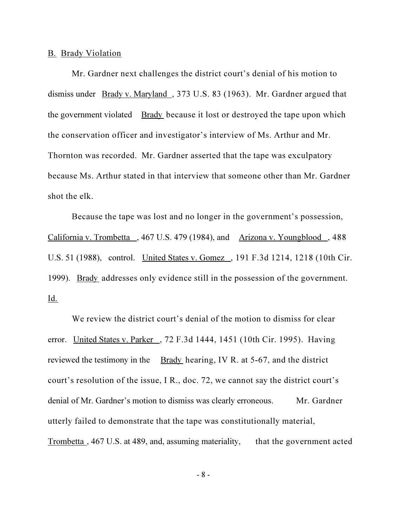#### B. Brady Violation

Mr. Gardner next challenges the district court's denial of his motion to dismiss under Brady v. Maryland , 373 U.S. 83 (1963). Mr. Gardner argued that the government violated Brady because it lost or destroyed the tape upon which the conservation officer and investigator's interview of Ms. Arthur and Mr. Thornton was recorded. Mr. Gardner asserted that the tape was exculpatory because Ms. Arthur stated in that interview that someone other than Mr. Gardner shot the elk.

Because the tape was lost and no longer in the government's possession, California v. Trombetta , 467 U.S. 479 (1984), and Arizona v. Youngblood , 488 U.S. 51 (1988), control. United States v. Gomez , 191 F.3d 1214, 1218 (10th Cir. 1999). Brady addresses only evidence still in the possession of the government. Id.

We review the district court's denial of the motion to dismiss for clear error. United States v. Parker , 72 F.3d 1444, 1451 (10th Cir. 1995). Having reviewed the testimony in the Brady hearing, IV R. at 5-67, and the district court's resolution of the issue, I R., doc. 72, we cannot say the district court's denial of Mr. Gardner's motion to dismiss was clearly erroneous. Mr. Gardner utterly failed to demonstrate that the tape was constitutionally material, Trombetta , 467 U.S. at 489, and, assuming materiality, that the government acted

- 8 -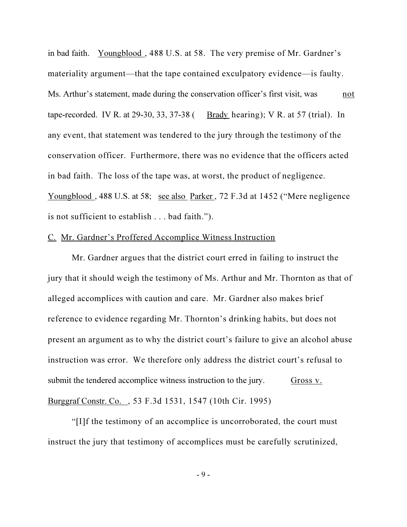in bad faith. Youngblood , 488 U.S. at 58. The very premise of Mr. Gardner's materiality argument—that the tape contained exculpatory evidence—is faulty. Ms. Arthur's statement, made during the conservation officer's first visit, was not tape-recorded. IV R. at  $29-30$ ,  $33$ ,  $37-38$  (Brady hearing); V R. at  $57$  (trial). In any event, that statement was tendered to the jury through the testimony of the conservation officer. Furthermore, there was no evidence that the officers acted in bad faith. The loss of the tape was, at worst, the product of negligence. Youngblood, 488 U.S. at 58; see also Parker, 72 F.3d at 1452 ("Mere negligence is not sufficient to establish . . . bad faith.").

### C. Mr. Gardner's Proffered Accomplice Witness Instruction

Mr. Gardner argues that the district court erred in failing to instruct the jury that it should weigh the testimony of Ms. Arthur and Mr. Thornton as that of alleged accomplices with caution and care. Mr. Gardner also makes brief reference to evidence regarding Mr. Thornton's drinking habits, but does not present an argument as to why the district court's failure to give an alcohol abuse instruction was error. We therefore only address the district court's refusal to submit the tendered accomplice witness instruction to the jury. Gross v. Burggraf Constr. Co. , 53 F.3d 1531, 1547 (10th Cir. 1995)

"[I]f the testimony of an accomplice is uncorroborated, the court must instruct the jury that testimony of accomplices must be carefully scrutinized,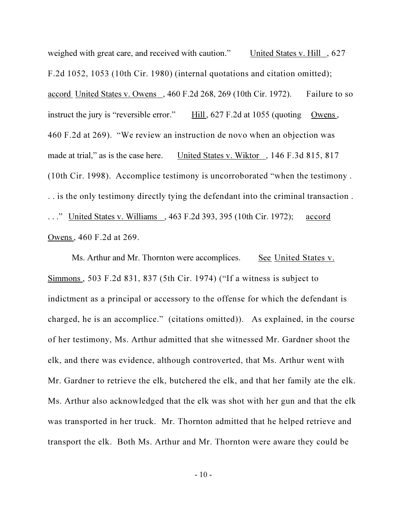weighed with great care, and received with caution." United States v. Hill , 627 F.2d 1052, 1053 (10th Cir. 1980) (internal quotations and citation omitted); accord United States v. Owens , 460 F.2d 268, 269 (10th Cir. 1972). Failure to so instruct the jury is "reversible error."  $\quad$  Hill, 627 F.2d at 1055 (quoting Owens, 460 F.2d at 269). "We review an instruction de novo when an objection was made at trial," as is the case here. United States v. Wiktor, 146 F.3d 815, 817 (10th Cir. 1998). Accomplice testimony is uncorroborated "when the testimony . . . is the only testimony directly tying the defendant into the criminal transaction . . . ." United States v. Williams , 463 F.2d 393, 395 (10th Cir. 1972); accord Owens, 460 F.2d at 269.

Ms. Arthur and Mr. Thornton were accomplices. See United States v. Simmons , 503 F.2d 831, 837 (5th Cir. 1974) ("If a witness is subject to indictment as a principal or accessory to the offense for which the defendant is charged, he is an accomplice." (citations omitted)). As explained, in the course of her testimony, Ms. Arthur admitted that she witnessed Mr. Gardner shoot the elk, and there was evidence, although controverted, that Ms. Arthur went with Mr. Gardner to retrieve the elk, butchered the elk, and that her family ate the elk. Ms. Arthur also acknowledged that the elk was shot with her gun and that the elk was transported in her truck. Mr. Thornton admitted that he helped retrieve and transport the elk. Both Ms. Arthur and Mr. Thornton were aware they could be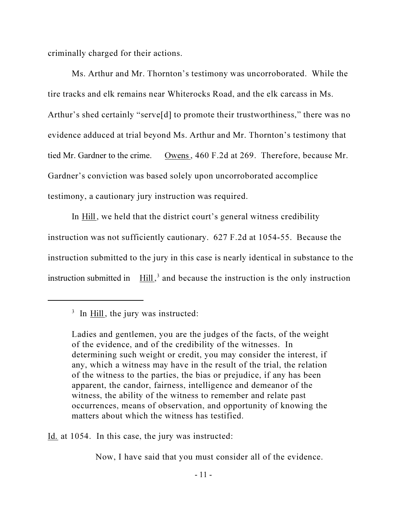criminally charged for their actions.

Ms. Arthur and Mr. Thornton's testimony was uncorroborated. While the tire tracks and elk remains near Whiterocks Road, and the elk carcass in Ms. Arthur's shed certainly "serve<sup>[d]</sup> to promote their trustworthiness," there was no evidence adduced at trial beyond Ms. Arthur and Mr. Thornton's testimony that tied Mr. Gardner to the crime. Owens, 460 F.2d at 269. Therefore, because Mr. Gardner's conviction was based solely upon uncorroborated accomplice testimony, a cautionary jury instruction was required.

In Hill, we held that the district court's general witness credibility instruction was not sufficiently cautionary. 627 F.2d at 1054-55. Because the instruction submitted to the jury in this case is nearly identical in substance to the instruction submitted in  $\text{Hill}$ ,<sup>3</sup> and because the instruction is the only instruction

Id. at 1054. In this case, the jury was instructed:

Now, I have said that you must consider all of the evidence.

 $3$  In  $\overline{\text{Hill}}$ , the jury was instructed:

Ladies and gentlemen, you are the judges of the facts, of the weight of the evidence, and of the credibility of the witnesses. In determining such weight or credit, you may consider the interest, if any, which a witness may have in the result of the trial, the relation of the witness to the parties, the bias or prejudice, if any has been apparent, the candor, fairness, intelligence and demeanor of the witness, the ability of the witness to remember and relate past occurrences, means of observation, and opportunity of knowing the matters about which the witness has testified.